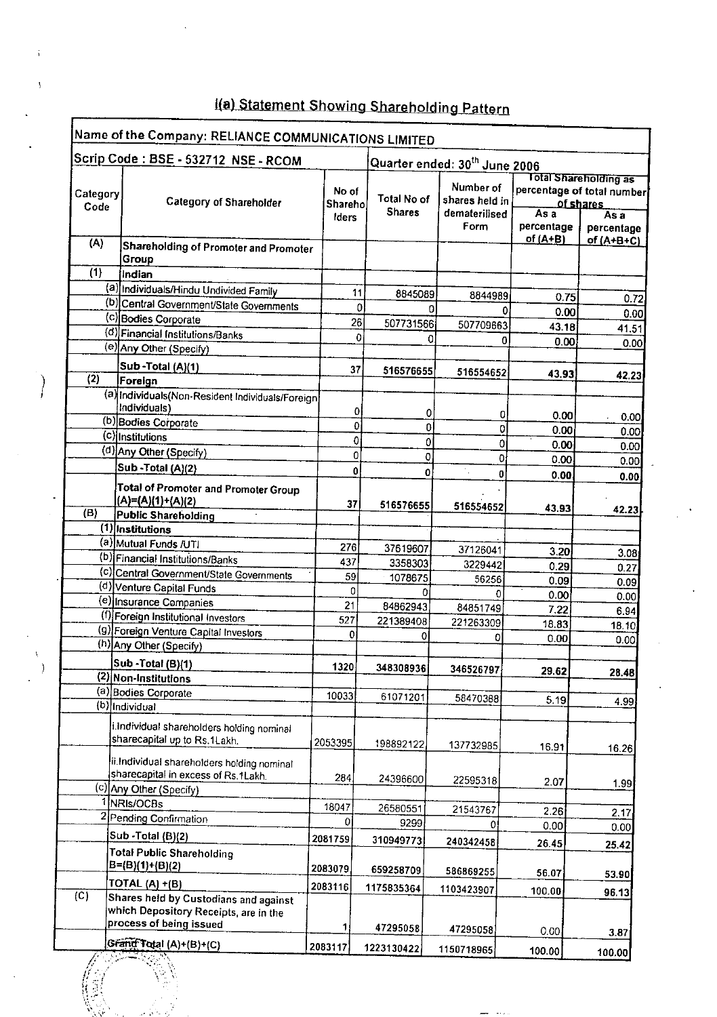# **1(a) Statement Showing Shareholding Pattern**

|                   | Name of the Company: RELIANCE COMMUNICATIONS LIMITED                                                                                                                  |                           |                              |                                                      |                                                                                                              |               |
|-------------------|-----------------------------------------------------------------------------------------------------------------------------------------------------------------------|---------------------------|------------------------------|------------------------------------------------------|--------------------------------------------------------------------------------------------------------------|---------------|
|                   | Scrip Code: BSE - 532712 NSE - RCOM                                                                                                                                   |                           |                              | Quarter ended: 30 <sup>th</sup> June 2006            |                                                                                                              |               |
| Category.<br>Code | Category of Shareholder                                                                                                                                               | No of<br>Shareho<br>lders | Total No of<br><b>Shares</b> | Number of<br>shares held in<br>dematerilised<br>Form | Total Shareholding as<br>percentage of total number<br>of shares<br>As a<br>As a<br>percentage<br>percentage |               |
| (A)               | Shareholding of Promoter and Promoter<br>Group                                                                                                                        |                           |                              |                                                      | <u>of (A+B)</u>                                                                                              | of $(A+B+C)$  |
| (1)               | Indian                                                                                                                                                                |                           |                              |                                                      |                                                                                                              |               |
|                   | (a) Individuals/Hindu Undivided Family                                                                                                                                | 11                        | 8845089                      | 8844989                                              |                                                                                                              |               |
|                   | (b) Central Government/State Governments                                                                                                                              |                           | 0                            | o<br>0                                               | 0.75<br>0.00                                                                                                 | 0.72          |
|                   | (c) Bodies Corporate                                                                                                                                                  | 26                        | 507731566                    | 507709663                                            | 43.18                                                                                                        | 0.00          |
|                   | (d) Financial Institutions/Banks                                                                                                                                      | 0                         |                              | 0<br>o                                               | 0.00                                                                                                         | 41.51         |
|                   | (e) Any Other (Specify)                                                                                                                                               |                           |                              |                                                      |                                                                                                              | 0.00          |
|                   | Sub - Total (A)(1)                                                                                                                                                    | 37                        | 516576655                    | 516554652                                            |                                                                                                              |               |
| (2)               | Foreign                                                                                                                                                               |                           |                              |                                                      | 43.93                                                                                                        | 42.23         |
|                   | (a) Individuals (Non-Resident Individuals/Foreign)<br>Individuals)                                                                                                    | 0                         | 0                            | 0                                                    | 0.00                                                                                                         |               |
|                   | (b) Bodies Corporate                                                                                                                                                  | 0                         | 0                            | 0                                                    | 0.00                                                                                                         | 0.00          |
|                   | (c) Institutions                                                                                                                                                      | 0                         | 0                            | $\overline{0}$                                       | 0.00                                                                                                         | 0.00          |
|                   | (d) Any Other (Specify)                                                                                                                                               | 0                         | 0                            | $\mathbf{0}$                                         | 0.00                                                                                                         | 0.00          |
|                   | Sub - Total (A)(2)                                                                                                                                                    | 0                         | 0                            | ÷,<br>0                                              | 0.00                                                                                                         | 0.00          |
| (B)               | <b>Total of Promoter and Promoter Group</b><br>$(A)=(A)(1)+(A)(2)$<br>Public Shareholding                                                                             | 37                        | 516576655                    | 516554652                                            | 43.93                                                                                                        | 0.00<br>42.23 |
|                   | (1) Institutions                                                                                                                                                      |                           |                              |                                                      |                                                                                                              |               |
|                   | (a) Mutual Funds /UTI                                                                                                                                                 |                           |                              |                                                      |                                                                                                              |               |
|                   | (b) Financial Institutions/Banks                                                                                                                                      | 276                       | 37619607                     | 37126041                                             | 3.20                                                                                                         | 3.08          |
|                   | (c) Central Government/State Governments                                                                                                                              | 437                       | 3358303                      | 3229442                                              | 0.29                                                                                                         | 0.27          |
|                   | (d) Venture Capital Funds                                                                                                                                             | 59                        | 1078675                      | 56256                                                | 0.09                                                                                                         | 0.09          |
|                   | (e) Insurance Companies                                                                                                                                               | 0<br>21                   | 0                            | o                                                    | 0.00                                                                                                         | 0.00          |
|                   | (f) Foreign Institutional Investors                                                                                                                                   | 527                       | 84862943                     | 84851749                                             | 7.22                                                                                                         | 6.94          |
|                   | (9) Foreign Venture Capital Investors                                                                                                                                 | 0                         | 221389408<br>0               | 221263309                                            | 18.83                                                                                                        | 18.10         |
|                   | (h) Any Other (Specify)                                                                                                                                               |                           |                              | 0                                                    | 0.00                                                                                                         | 0.00          |
|                   | Sub -Total (B)(1)                                                                                                                                                     |                           |                              |                                                      |                                                                                                              |               |
|                   | (2) Non-Institutions                                                                                                                                                  | 1320                      | 348308936                    | 346526797                                            | 29.62                                                                                                        | 28.48         |
|                   | (a) Bodies Corporate                                                                                                                                                  | 10033                     |                              |                                                      |                                                                                                              |               |
|                   | (b) Individual                                                                                                                                                        |                           | 61071201                     | 58470388                                             | 5.19                                                                                                         | 4.99          |
|                   | i.Individual shareholders holding nominal<br>sharecapital up to Rs.1Lakh.                                                                                             | 2053395                   | 198892122                    | 137732985                                            | 16.91                                                                                                        | 16.26         |
|                   | ii.Individual shareholders holding nominal<br>sharecapital in excess of Rs.1Lakh.<br>(c) Any Other (Specify)                                                          | 284                       | 24396600                     | 22595318                                             | 2.07                                                                                                         | 1.99          |
|                   | NRIs/OCBs                                                                                                                                                             |                           |                              |                                                      |                                                                                                              |               |
|                   | 2 Pending Confirmation                                                                                                                                                | 18047<br>0                | 26580551<br>9299             | 21543767                                             | 2.26                                                                                                         | 2.17          |
|                   | Sub - Total (B)(2)                                                                                                                                                    |                           |                              | 0                                                    | 0.00                                                                                                         | 0.00          |
|                   | <b>Total Public Shareholding</b><br>$B=(B)(1)+(B)(2)$                                                                                                                 | 2081759<br>2083079        | 310949773                    | 240342458                                            | 26.45                                                                                                        | 25.42         |
|                   | TOTAL (A) +(B)                                                                                                                                                        |                           | 659258709                    | 586869255                                            | 56.07                                                                                                        | 53.90         |
| (C)               | Shares held by Custodians and against<br>which Depository Receipts, are in the<br>process of being issued                                                             | 2083116<br>1              | 1175835364<br>47295058       | 1103423907<br>47295058                               | 100.00<br>0.00,                                                                                              | 96.13         |
|                   | Grand Total (A)+(B)+(C)                                                                                                                                               |                           |                              |                                                      |                                                                                                              | 3.87          |
|                   | स्टब्स्ट करते हैं।<br>सन्दर्भ स्टब्स्ट कर स्टब्स्ट करें के साथ स्टब्स्ट करें हैं।<br>सन्दर्भ स्टब्स्ट कर स्टब्स्ट करें के साथ स्टब्स्ट करें के साथ स्टब्स्ट करें हैं। | 2083117                   | 1223130422                   | 1150718965                                           | 100.00                                                                                                       | 100.00        |

 $\mathcal{E}$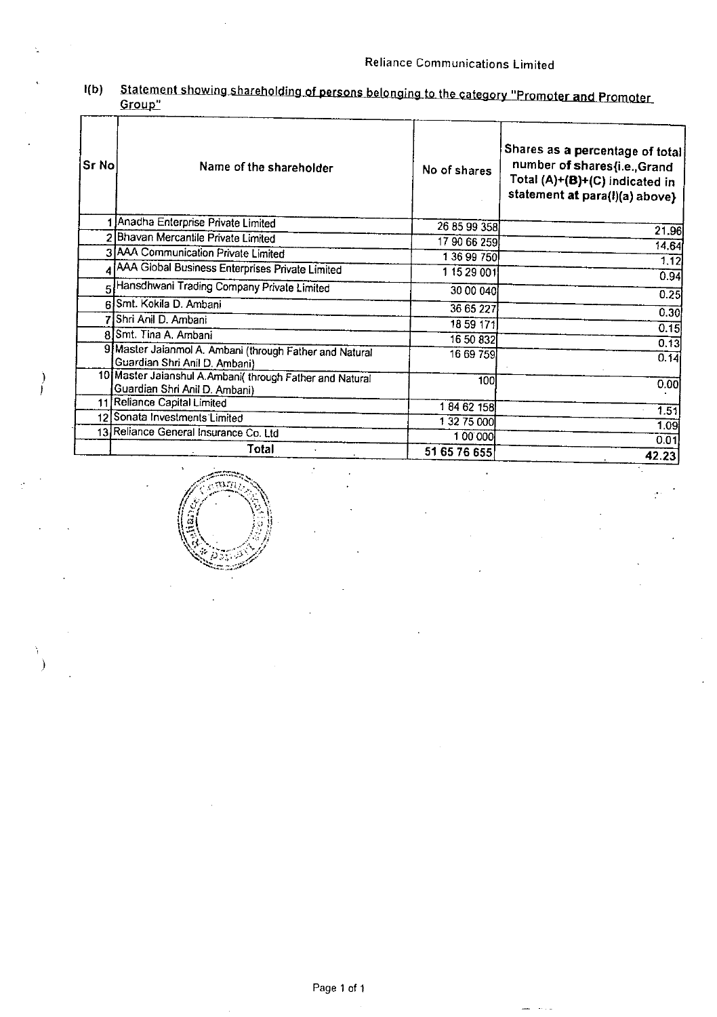I(b) Statement showing shareholding of persons belonging to the category "Promoter and Promoter Group"

| Sr No | Name of the shareholder                                                                   | No of shares | Shares as a percentage of total<br>number of shares{i.e., Grand<br>Total (A)+(B)+(C) indicated in<br>statement at para(l)(a) above} |
|-------|-------------------------------------------------------------------------------------------|--------------|-------------------------------------------------------------------------------------------------------------------------------------|
|       | Anadha Enterprise Private Limited                                                         | 26 85 99 358 | 21.96                                                                                                                               |
|       | 2 Bhavan Mercantile Private Limited                                                       | 17 90 66 259 | 14.64                                                                                                                               |
|       | 3   AAA Communication Private Limited                                                     | 1 36 99 750  | 1,12                                                                                                                                |
|       | AAA Global Business Enterprises Private Limited                                           | 1 15 29 001  | 0.94                                                                                                                                |
|       | Hansdhwani Trading Company Private Limited                                                | 30 00 040    | 0.25                                                                                                                                |
|       | 6 Smt. Kokila D. Ambani                                                                   | 36 65 227    |                                                                                                                                     |
|       | Shri Anil D. Ambani                                                                       | 18 59 171    | 0.30                                                                                                                                |
|       | 8 Smt. Tina A. Ambani                                                                     | 16 50 832    | 0.15                                                                                                                                |
|       | 9 Master Jaianmol A. Ambani (through Father and Natural<br>Guardian Shri Anil D. Ambani)  | 16 69 759    | 0.13<br>0.14                                                                                                                        |
|       | 10 Master Jaianshul A.Ambani( through Father and Natural<br>Guardian Shri Anil D. Ambani) | 100          | 0.00                                                                                                                                |
|       | 11 Reliance Capital Limited                                                               | 184 62 158   | 1.51                                                                                                                                |
|       | 12 Sonata Investments Limited                                                             | 1 32 75 000  | 1.09                                                                                                                                |
|       | 13 Reliance General Insurance Co. Ltd                                                     | 1 00 000     | 0.01                                                                                                                                |
|       | Total                                                                                     | 51 65 76 655 | 42.23                                                                                                                               |



 $\left\{\right\}$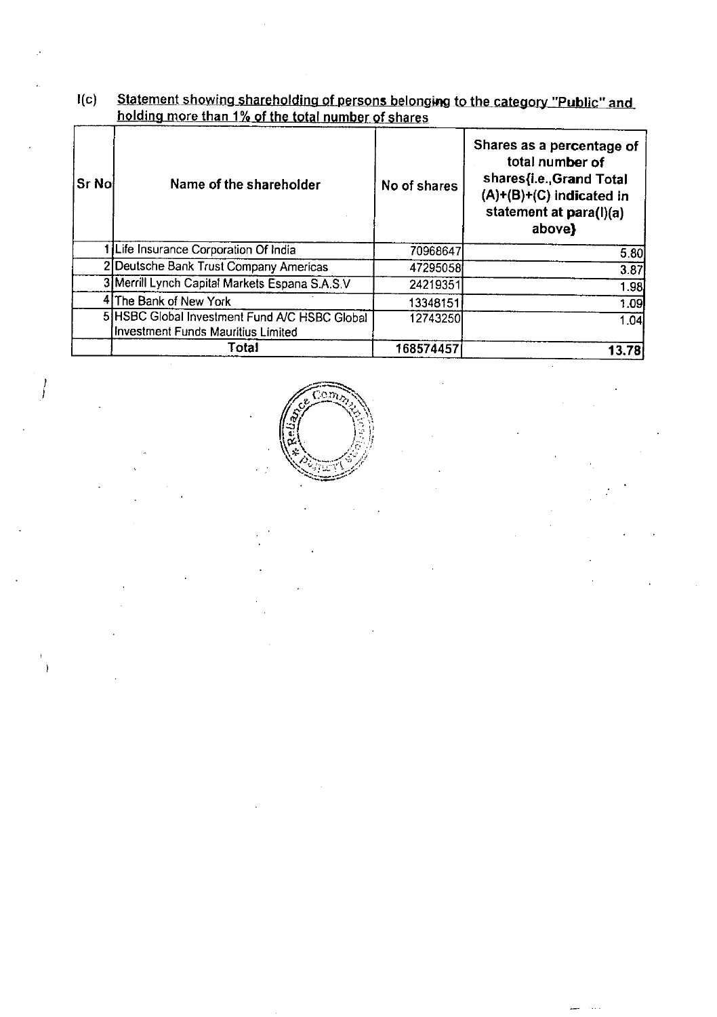**I(c)** Statement showing shareholding of persons belonging to the category "Public" and **holding more than I** % **of the total number of shares**

| Sr No | Name of the shareholder                                                             | No of shares | Shares as a percentage of<br>total number of<br>shares{i.e., Grand Total<br>$(A)+(B)+(C)$ indicated in<br>statement at para(l)(a)<br>above} |
|-------|-------------------------------------------------------------------------------------|--------------|---------------------------------------------------------------------------------------------------------------------------------------------|
|       | Life Insurance Corporation Of India                                                 | 70968647     | 5.80                                                                                                                                        |
|       | 2 Deutsche Bank Trust Company Americas                                              | 47295058     | 3.87                                                                                                                                        |
|       | 3 Merrill Lynch Capital Markets Espana S.A.S.V                                      | 24219351     | 1.98                                                                                                                                        |
|       | 4 The Bank of New York                                                              | 13348151     | 1.09                                                                                                                                        |
|       | 5 HSBC Global Investment Fund A/C HSBC Global<br>Investment Funds Mauritius Limited | 12743250     | 1.04                                                                                                                                        |
|       | Total                                                                               | 168574457    | 13.78                                                                                                                                       |

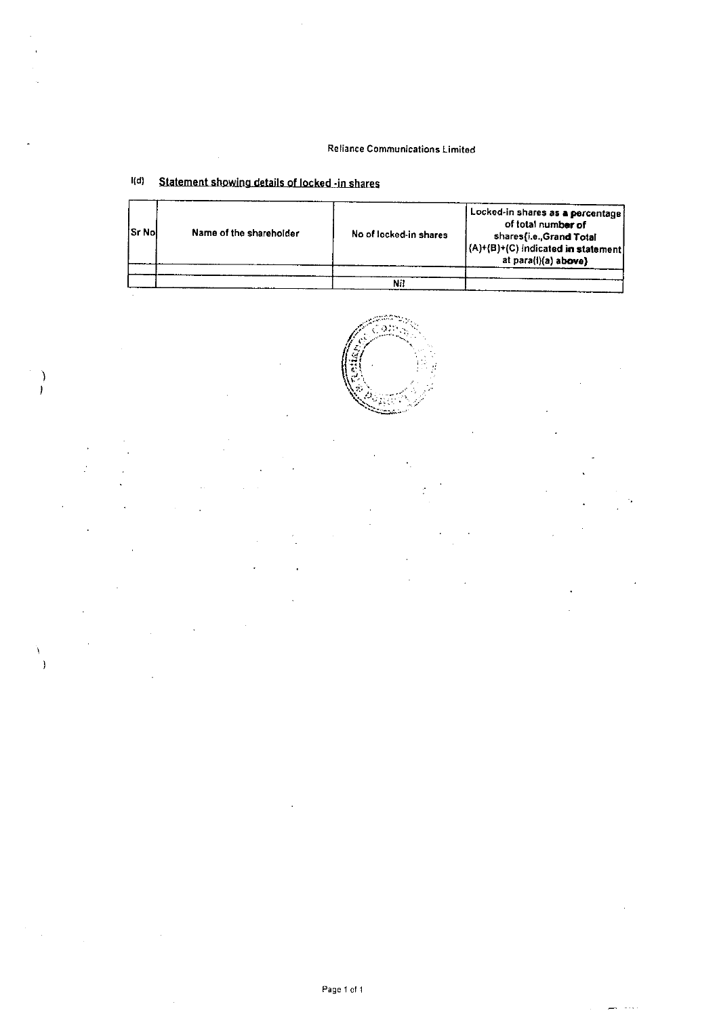#### **Reliance Communications** Limited

## **I(d) Statement showing details of locked -in shares**

 $\left.\rule{0pt}{12pt}\right)$ 

Ï  $\overline{\phantom{a}}$ 

| ISr Nol | Name of the shareholder | No of locked-in shares | of total number of<br>shares{i.e.,Grand Total<br>$(A)+(B)+(C)$ indicated in statement<br>at para(l)(a) above} |
|---------|-------------------------|------------------------|---------------------------------------------------------------------------------------------------------------|
|         |                         | Nil                    |                                                                                                               |

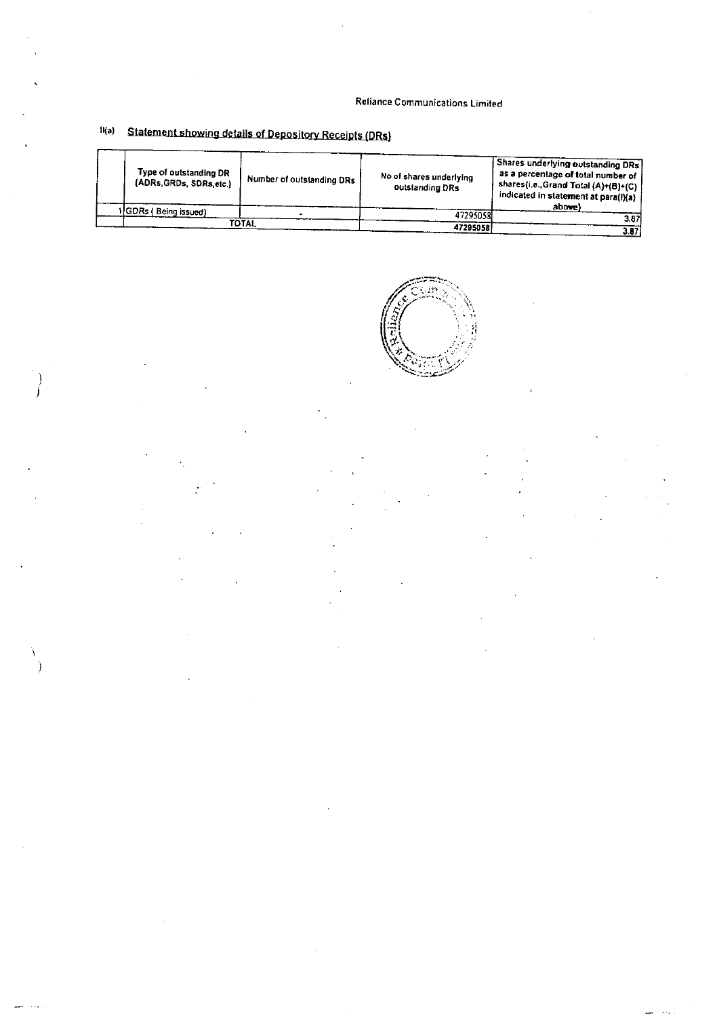### **Reliance Communications** Limited

## **IKa)** Statement showing details of Depository Receipts (DRs)

Ì

J,

| Type of outstanding DR<br>(ADRs, GRDs, SDRs, etc.) | Number of outstanding DRs | No of shares underlying<br>outstanding DRs | <b>Shares underlying outstanding DRs</b><br>as a percentage of total number of<br>shares{i.e., Grand Total (A)+(B)+(C)<br>indicated in statement at para(l)(a) |
|----------------------------------------------------|---------------------------|--------------------------------------------|----------------------------------------------------------------------------------------------------------------------------------------------------------------|
| IGDRs (Being issued)                               |                           | 47295058                                   | above)                                                                                                                                                         |
|                                                    | TOTAL                     | 47295058                                   | 3.87                                                                                                                                                           |
|                                                    |                           |                                            | 3.87.                                                                                                                                                          |